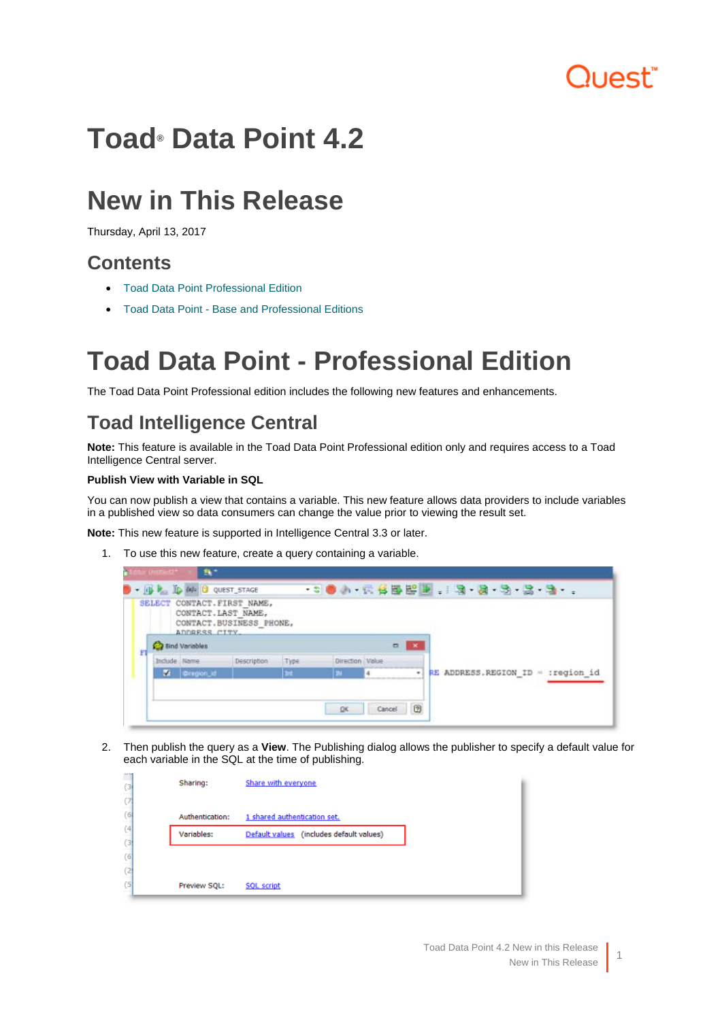# luest"

# <span id="page-0-0"></span>**Toad® Data Point 4.2**

# **New in This Release**

Thursday, April 13, 2017

# **Contents**

- [Toad Data Point Professional Edition](#page-0-0)
- [Toad Data Point Base and Professional Editions](#page-5-0)

# **Toad Data Point - Professional Edition**

The Toad Data Point Professional edition includes the following new features and enhancements.

# **Toad Intelligence Central**

**Note:** This feature is available in the Toad Data Point Professional edition only and requires access to a Toad Intelligence Central server.

#### **Publish View with Variable in SQL**

You can now publish a view that contains a variable. This new feature allows data providers to include variables in a published view so data consumers can change the value prior to viewing the result set.

**Note:** This new feature is supported in Intelligence Central 3.3 or later.

1. To use this new feature, create a query containing a variable.

|    |               | CONTACT. LAST NAME,<br>ADDRESS CITY | SELECT CONTACT. FIRST NAME,<br>CONTACT.BUSINESS PHONE, |      |                 |        |   |  |  |                                    |
|----|---------------|-------------------------------------|--------------------------------------------------------|------|-----------------|--------|---|--|--|------------------------------------|
| Ff |               | <b>Bind Variables</b>               |                                                        |      | $\Box$          |        |   |  |  |                                    |
|    | Include Name: |                                     | Description                                            | Type | Direction Value |        |   |  |  |                                    |
|    | M.            | Cregion_id                          |                                                        | Int. | m.              |        | ٠ |  |  | RE ADDRESS.REGION_ID = : region_id |
|    |               |                                     |                                                        |      | DK.             | Cancel | 図 |  |  |                                    |

2. Then publish the query as a **View**. The Publishing dialog allows the publisher to specify a default value for each variable in the SQL at the time of publishing.

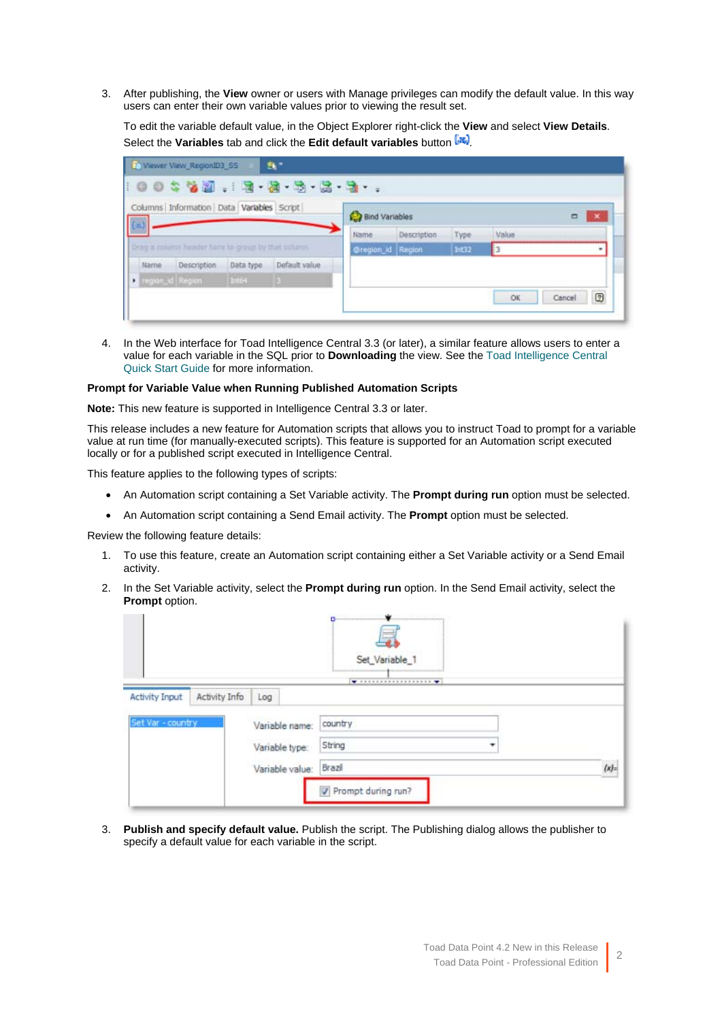3. After publishing, the **View** owner or users with Manage privileges can modify the default value. In this way users can enter their own variable values prior to viewing the result set.

To edit the variable default value, in the Object Explorer right-click the **View** and select **View Details**. Select the **Variables** tab and click the **Edit default variables** button  $\left[\mathbf{R}\right]$ .

| (x)  | Columns Information Data Variables Script           |           |               | <b>Bind Variables</b> |             |       | □     | $\pmb{\times}$ |
|------|-----------------------------------------------------|-----------|---------------|-----------------------|-------------|-------|-------|----------------|
|      |                                                     |           |               | Name                  | Description | Type  | Value |                |
|      | Drag a column header hints to group by that column. |           |               | Gregion id Region     |             | Int12 |       | ۰              |
| Name | Description                                         | Data type | Default value |                       |             |       |       |                |
|      | <b>D</b> region_id Region                           | Into-4    |               |                       |             |       |       |                |

4. In the Web interface for Toad Intelligence Central 3.3 (or later), a similar feature allows users to enter a value for each variable in the SQL prior to **Downloading** the view. See the [Toad Intelligence Central](http://documents.quest.com/toad-intelligence-central/)  [Quick Start Guide](http://documents.quest.com/toad-intelligence-central/) for more information.

#### **Prompt for Variable Value when Running Published Automation Scripts**

**Note:** This new feature is supported in Intelligence Central 3.3 or later.

This release includes a new feature for Automation scripts that allows you to instruct Toad to prompt for a variable value at run time (for manually-executed scripts). This feature is supported for an Automation script executed locally or for a published script executed in Intelligence Central.

This feature applies to the following types of scripts:

- An Automation script containing a Set Variable activity. The **Prompt during run** option must be selected.
- An Automation script containing a Send Email activity. The **Prompt** option must be selected.

Review the following feature details:

- 1. To use this feature, create an Automation script containing either a Set Variable activity or a Send Email activity.
- 2. In the Set Variable activity, select the **Prompt during run** option. In the Send Email activity, select the **Prompt** option.

|                       |               |                 | <u> Danmarin mann Mann mann mann mann an dùthchan an dùthchan ann an 1976. Tha bhaile ann an 1976 an Dùthchan ann an 1976 an Dùthchan ann an 1976 an Dùthchan ann an 1977 an 1977 an 1977 an 1978 an 1979. Tha bhaile ann an 197</u><br>Set_Variable_1                                                                                                                                                                                   |           |
|-----------------------|---------------|-----------------|------------------------------------------------------------------------------------------------------------------------------------------------------------------------------------------------------------------------------------------------------------------------------------------------------------------------------------------------------------------------------------------------------------------------------------------|-----------|
| <b>Activity Input</b> | Activity Info | Log             | $\begin{minipage}{.4\linewidth} \begin{tabular}{l} \hline \textbf{w} & \textbf{u} & \textbf{u} & \textbf{u} & \textbf{u} & \textbf{u} & \textbf{u} & \textbf{u} & \textbf{u} & \textbf{u} & \textbf{u} & \textbf{u} & \textbf{u} & \textbf{u} & \textbf{u} & \textbf{u} & \textbf{u} & \textbf{u} & \textbf{u} & \textbf{u} & \textbf{u} & \textbf{u} & \textbf{u} & \textbf{u} & \textbf{u} & \textbf{u} & \textbf{u} & \textbf{u} & \$ |           |
| Set Var - country     |               | Variable name:  | country                                                                                                                                                                                                                                                                                                                                                                                                                                  |           |
|                       |               | Variable type:  | String<br>٠                                                                                                                                                                                                                                                                                                                                                                                                                              |           |
|                       |               | Variable value: | Brazil                                                                                                                                                                                                                                                                                                                                                                                                                                   | $\{x\}$ : |
|                       |               |                 | Prompt during run?                                                                                                                                                                                                                                                                                                                                                                                                                       |           |

3. **Publish and specify default value.** Publish the script. The Publishing dialog allows the publisher to specify a default value for each variable in the script.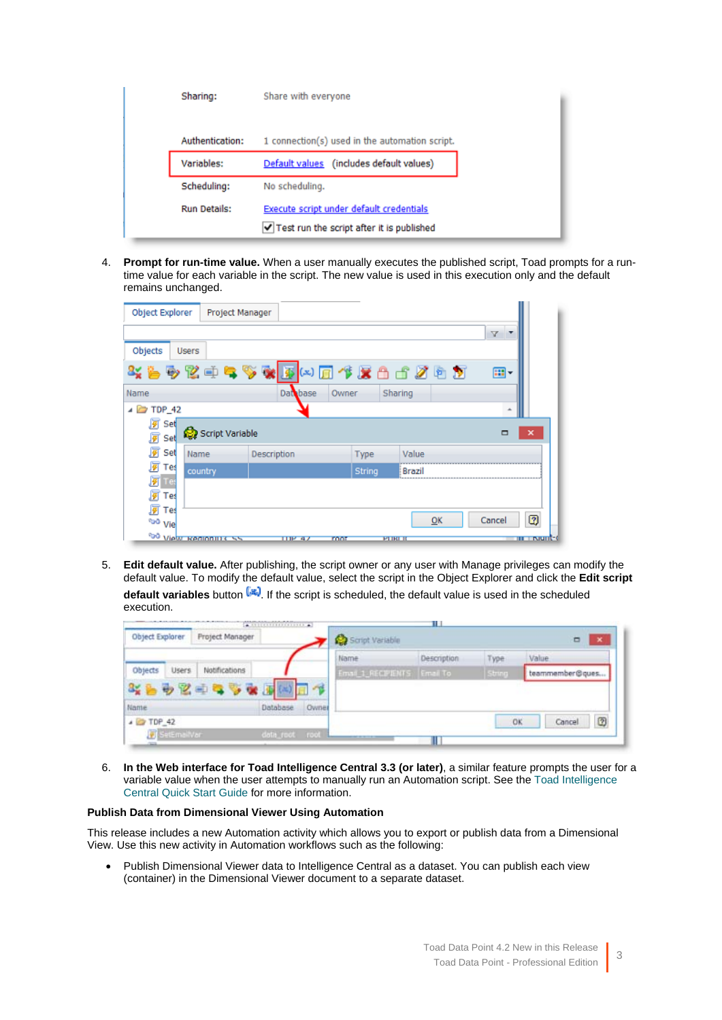| Sharing:            | Share with everyone                                                                     |
|---------------------|-----------------------------------------------------------------------------------------|
| Authentication:     | 1 connection(s) used in the automation script.                                          |
| Variables:          | Default values (includes default values)                                                |
| Scheduling:         | No scheduling.                                                                          |
| <b>Run Details:</b> | Execute script under default credentials<br>√ Test run the script after it is published |

4. **Prompt for run-time value.** When a user manually executes the published script, Toad prompts for a runtime value for each variable in the script. The new value is used in this execution only and the default remains unchanged.

| Object Explorer    | Project Manager               |                                     |             |        |                 |    |        |                   |
|--------------------|-------------------------------|-------------------------------------|-------------|--------|-----------------|----|--------|-------------------|
|                    |                               |                                     |             |        |                 |    | v      |                   |
| Objects            | <b>Users</b>                  |                                     |             |        |                 |    |        |                   |
|                    |                               | %も多区中气多碳 <mark>不</mark> (*)同作层凸古发白万 |             |        |                 |    | 曲-     |                   |
| Name               |                               | Database                            | Owner       |        | Sharing         |    |        |                   |
| $\triangle$ TDP 42 |                               |                                     |             |        |                 |    |        |                   |
| 厦<br>Set           | Script Variable               |                                     |             |        |                 |    | □      | ×                 |
| 图 Set              |                               |                                     |             |        |                 |    |        |                   |
| <b>屏</b> Set       | Name                          | Description                         |             | Type   | Value           |    |        |                   |
| 厦 Tes              | country                       |                                     |             | String | Brazil          |    |        |                   |
| <mark>列</mark> Tes |                               |                                     |             |        |                 |    |        |                   |
| 阿<br>Tes           |                               |                                     |             |        |                 |    |        |                   |
| ø<br>Teś           |                               |                                     |             |        |                 |    |        |                   |
| <sup>obo</sup> Vie |                               |                                     |             |        |                 | OK | Cancel | 0                 |
|                    | <b>GO View Regionities SS</b> | IIP 47                              | <b>FOOT</b> |        | <b>PT IRL B</b> |    |        | <b>THE INSIDE</b> |

5. **Edit default value.** After publishing, the script owner or any user with Manage privileges can modify the default value. To modify the default value, select the script in the Object Explorer and click the **Edit script**  default variables button **12.** If the script is scheduled, the default value is used in the scheduled execution.

| Object Explorer<br>Project Manager |               |                |       | Script Variable            |             |        |       | ▭               | $\boldsymbol{\times}$ |
|------------------------------------|---------------|----------------|-------|----------------------------|-------------|--------|-------|-----------------|-----------------------|
|                                    |               |                |       | Name                       | Description | Type   | Value |                 |                       |
| Objects<br>Users                   | Notifications |                |       | Email 1_RECPIENTS Email To |             | String |       | teammember@ques |                       |
|                                    | 3%各办区中气节家     |                |       |                            |             |        |       |                 |                       |
| Name                               |               | Database       | Owner |                            |             |        |       |                 |                       |
| $\triangle$ TDP_42                 |               |                |       |                            |             | OK     |       | Cancel          | 0                     |
| <b>V</b> SetEmailVar               |               | data_root root |       |                            |             |        |       |                 |                       |

6. **In the Web interface for Toad Intelligence Central 3.3 (or later)**, a similar feature prompts the user for a variable value when the user attempts to manually run an Automation script. See the [Toad Intelligence](http://documents.quest.com/toad-intelligence-central/)  [Central Quick Start Guide](http://documents.quest.com/toad-intelligence-central/) for more information.

#### **Publish Data from Dimensional Viewer Using Automation**

This release includes a new Automation activity which allows you to export or publish data from a Dimensional View. Use this new activity in Automation workflows such as the following:

• Publish Dimensional Viewer data to Intelligence Central as a dataset. You can publish each view (container) in the Dimensional Viewer document to a separate dataset.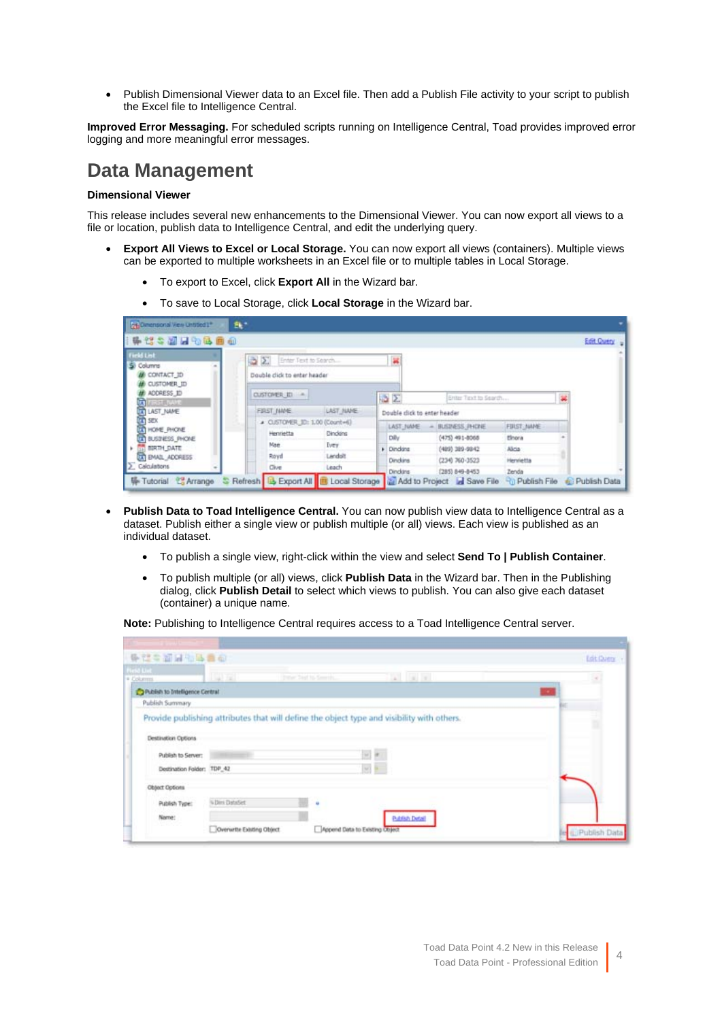• Publish Dimensional Viewer data to an Excel file. Then add a Publish File activity to your script to publish the Excel file to Intelligence Central.

**Improved Error Messaging.** For scheduled scripts running on Intelligence Central, Toad provides improved error logging and more meaningful error messages.

## **Data Management**

#### **Dimensional Viewer**

This release includes several new enhancements to the Dimensional Viewer. You can now export all views to a file or location, publish data to Intelligence Central, and edit the underlying query.

- **Export All Views to Excel or Local Storage.** You can now export all views (containers). Multiple views can be exported to multiple worksheets in an Excel file or to multiple tables in Local Storage.
	- To export to Excel, click **Export All** in the Wizard bar.
	- To save to Local Storage, click **Local Storage** in the Wizard bar.

| 味管与副居物色画面                                        |                               |           |                              |                                                                                                       |            |                         |
|--------------------------------------------------|-------------------------------|-----------|------------------------------|-------------------------------------------------------------------------------------------------------|------------|-------------------------|
| <b>Field List</b>                                | 3 E<br>Enter Text to Search   |           | ×                            |                                                                                                       |            |                         |
| Si Columns<br><b>E CONTACT ID</b><br>CUSTOMER ID | Double click to enter header  |           |                              |                                                                                                       |            |                         |
| ADDRESS ID                                       | CUSTOMER ID -                 |           | △∑                           | Enter Tirxt to Search                                                                                 |            |                         |
| <b>TO</b><br>LAST_NAME                           | FIRST NWE                     | LAST JUVE | Double click to enter header |                                                                                                       |            |                         |
| <b>En</b> sex<br><b>THOME PHONE</b>              | A CUSTOMER_ID: 1,00 (Count=6) |           | LAST_NAME                    | BUSINESS, PHONE                                                                                       | FULST JWNE |                         |
| TT BUSINESS PHONE                                | Henrietta                     | Dindens   | Dily                         | $(475)$ $491 - 0068$                                                                                  | tinora     |                         |
| <b>11. BIRTH DATE</b>                            | Mae                           | Deey.     | <b>F</b> Dinding             | (489) 389-9842                                                                                        | Alicia     |                         |
| <b>DO BAAL ADDRESS</b>                           | Royd                          | Landolt   | Dinckins                     | (234) 760-3523                                                                                        | Henrietta  |                         |
| $\Sigma$ Calculations                            | Oive                          | Leach     | Dinckins                     | (285) 849-8453                                                                                        | Zenda      |                         |
| <b>W</b> Tutorial <b><sup>22</sup> Arrange</b>   |                               |           |                              | Refresh <b>B</b> Export All <b>B</b> Local Storage <b>Add to Project A</b> Save File Rip Publish File |            | <b>In: Publish Data</b> |

- **Publish Data to Toad Intelligence Central.** You can now publish view data to Intelligence Central as a dataset. Publish either a single view or publish multiple (or all) views. Each view is published as an individual dataset.
	- To publish a single view, right-click within the view and select **Send To | Publish Container**.
	- To publish multiple (or all) views, click **Publish Data** in the Wizard bar. Then in the Publishing dialog, click **Publish Detail** to select which views to publish. You can also give each dataset (container) a unique name.

**Note:** Publishing to Intelligence Central requires access to a Toad Intelligence Central server.

| 计结合数据传输器<br><b>Pield Und</b>    |                |                  |                                                                                            | Lot Query |
|---------------------------------|----------------|------------------|--------------------------------------------------------------------------------------------|-----------|
| · Columns                       | <b>IN EX</b>   | two batts family | $A = 0.14$                                                                                 |           |
| Publish to Intelligence Central |                |                  |                                                                                            |           |
| Publish Summary                 |                |                  |                                                                                            |           |
|                                 |                |                  | Provide publishing attributes that will define the object type and visibility with others. |           |
|                                 |                |                  |                                                                                            |           |
| Destination Options             |                |                  |                                                                                            |           |
|                                 |                |                  |                                                                                            |           |
| Publish to Server:              |                |                  |                                                                                            |           |
| Destination Folder: TDP_42      |                |                  | w)                                                                                         |           |
|                                 |                |                  |                                                                                            |           |
| Object Options                  |                |                  |                                                                                            |           |
| Publish Type:                   | 4-Dimi DahnSet | u                |                                                                                            |           |
|                                 |                |                  |                                                                                            |           |
| Name:                           |                |                  | Publish Detail                                                                             |           |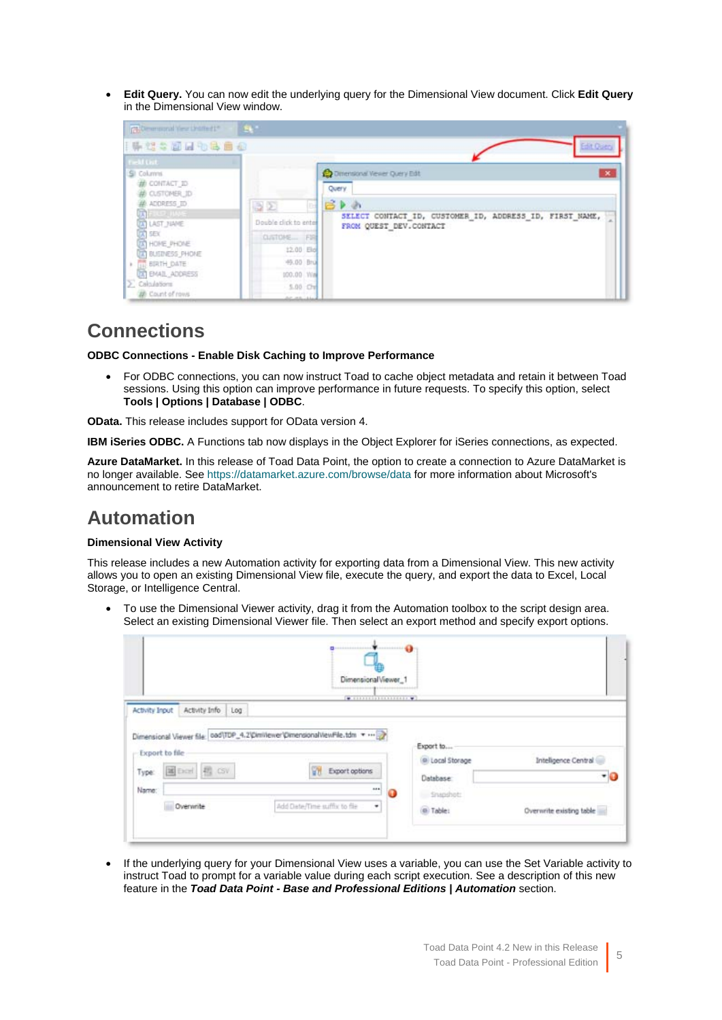• **Edit Query.** You can now edit the underlying query for the Dimensional View document. Click **Edit Query** in the Dimensional View window.

| CR-Dimensional View Unstitution<br>【陈笔:画画物书画画                                                                                                                                                                                                                                                           | $-24$                                                                                                           | Edit Query                                                                                                                                                             |
|---------------------------------------------------------------------------------------------------------------------------------------------------------------------------------------------------------------------------------------------------------------------------------------------------------|-----------------------------------------------------------------------------------------------------------------|------------------------------------------------------------------------------------------------------------------------------------------------------------------------|
| <b>Field Cist</b><br>SI Columns<br><b># CONTACT_ID</b><br># CLSTOMER_ID<br>ADDRESS ID<br><b>THE LET HAVE</b><br>A LAST NAME<br>$\overline{A}$ SEX<br><b>TA HOME PHONE</b><br>A BUSINESS PHONE<br><b>A GU BRITH DATE</b><br><b>DAT EMAIL ADDRESS</b><br>$\Sigma$ Calculations<br><b>20</b> Count of rows | 32<br>Double click to enter<br>CUSTOME FIR<br>12.00 Eld<br>49.00 Bru<br>100.00 Wm<br>$5.00$ Che<br>Art mitchell | $\mathbf{x}$<br><b>Co</b> Dimensional Versier Query Edit<br>Query<br><b>BP</b> 2<br>SELECT CONTACT ID, CUSTOMER ID, ADDRESS ID, FIRST NAME,<br>FROM QUEST DEV. CONTACT |

### **Connections**

**ODBC Connections - Enable Disk Caching to Improve Performance**

• For ODBC connections, you can now instruct Toad to cache object metadata and retain it between Toad sessions. Using this option can improve performance in future requests. To specify this option, select **Tools | Options | Database | ODBC**.

**OData.** This release includes support for OData version 4.

**IBM iSeries ODBC.** A Functions tab now displays in the Object Explorer for iSeries connections, as expected.

**Azure DataMarket.** In this release of Toad Data Point, the option to create a connection to Azure DataMarket is no longer available. See<https://datamarket.azure.com/browse/data> for more information about Microsoft's announcement to retire DataMarket.

## **Automation**

#### **Dimensional View Activity**

This release includes a new Automation activity for exporting data from a Dimensional View. This new activity allows you to open an existing Dimensional View file, execute the query, and export the data to Excel, Local Storage, or Intelligence Central.

• To use the Dimensional Viewer activity, drag it from the Automation toolbox to the script design area. Select an existing Dimensional Viewer file. Then select an export method and specify export options.

|                                                                           | DimensionalViewer_1           |                                         |                             |
|---------------------------------------------------------------------------|-------------------------------|-----------------------------------------|-----------------------------|
| Activity Info<br>Activity Input<br>Log                                    | [40.111111111111111111111111] |                                         |                             |
| Dimensional Viewer file: 000\TDP_4.2\Dimitiewer\DimensionalViewFile.tdm > |                               |                                         |                             |
| Export to file<br>国Excel 图 CSV<br>Type:<br>Name:                          | <b>Export options</b><br>     | Export to<br>Local Storage<br>Database: | Intelligence Central<br>- 0 |

• If the underlying query for your Dimensional View uses a variable, you can use the Set Variable activity to instruct Toad to prompt for a variable value during each script execution. See a description of this new feature in the *Toad Data Point - Base and Professional Editions | Automation* section.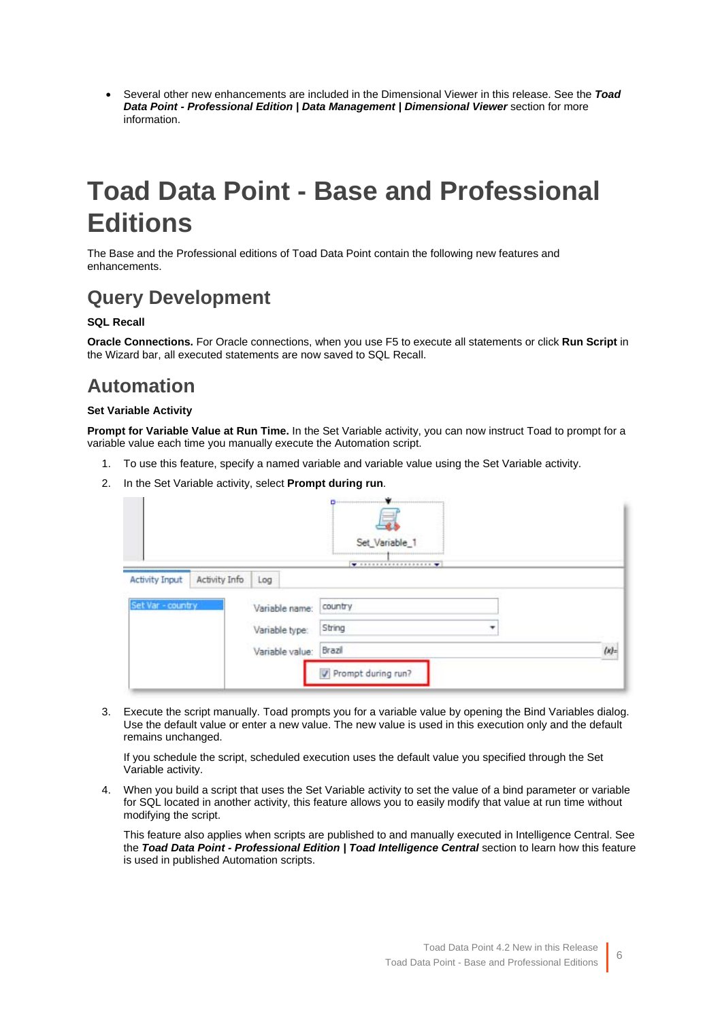<span id="page-5-0"></span>• Several other new enhancements are included in the Dimensional Viewer in this release. See the *Toad*  **Data Point - Professional Edition | Data Management | Dimensional Viewer** section for more information.

# **Toad Data Point - Base and Professional Editions**

The Base and the Professional editions of Toad Data Point contain the following new features and enhancements.

# **Query Development**

#### **SQL Recall**

**Oracle Connections.** For Oracle connections, when you use F5 to execute all statements or click **Run Script** in the Wizard bar, all executed statements are now saved to SQL Recall.

# **Automation**

#### **Set Variable Activity**

**Prompt for Variable Value at Run Time.** In the Set Variable activity, you can now instruct Toad to prompt for a variable value each time you manually execute the Automation script.

- 1. To use this feature, specify a named variable and variable value using the Set Variable activity.
- 2. In the Set Variable activity, select **Prompt during run**.

|                       |               |                 | Set_Variable_1     |                       |
|-----------------------|---------------|-----------------|--------------------|-----------------------|
| <b>Activity Input</b> | Activity Info | Log             |                    |                       |
| Set Var - country     |               | Variable name:  | country            |                       |
|                       |               | Variable type:  | String<br>▼        |                       |
|                       |               | Variable value: | Brazil             | $\langle x \rangle$ : |
|                       |               |                 | Prompt during run? |                       |

3. Execute the script manually. Toad prompts you for a variable value by opening the Bind Variables dialog. Use the default value or enter a new value. The new value is used in this execution only and the default remains unchanged.

If you schedule the script, scheduled execution uses the default value you specified through the Set Variable activity.

4. When you build a script that uses the Set Variable activity to set the value of a bind parameter or variable for SQL located in another activity, this feature allows you to easily modify that value at run time without modifying the script.

This feature also applies when scripts are published to and manually executed in Intelligence Central. See the *Toad Data Point - Professional Edition | Toad Intelligence Central* section to learn how this feature is used in published Automation scripts.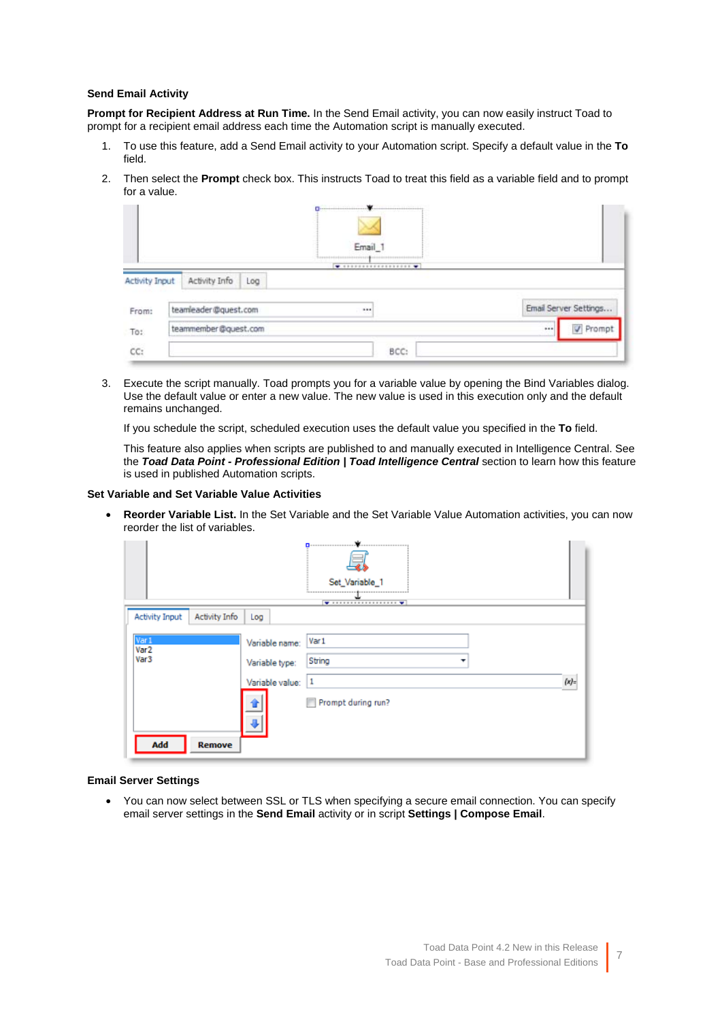#### **Send Email Activity**

**Prompt for Recipient Address at Run Time.** In the Send Email activity, you can now easily instruct Toad to prompt for a recipient email address each time the Automation script is manually executed.

- 1. To use this feature, add a Send Email activity to your Automation script. Specify a default value in the **To** field.
- 2. Then select the **Prompt** check box. This instructs Toad to treat this field as a variable field and to prompt for a value.

|                       | $\mathbf{a}$<br>Email 1  |                       |
|-----------------------|--------------------------|-----------------------|
| <b>Activity Input</b> | Activity Info<br>Log     |                       |
| From:                 | teamleader@quest.com<br> | Email Server Settings |
| To:                   | teammember@quest.com     | V Prompt<br>111       |
| cc:                   | BCC:                     |                       |

3. Execute the script manually. Toad prompts you for a variable value by opening the Bind Variables dialog. Use the default value or enter a new value. The new value is used in this execution only and the default remains unchanged.

If you schedule the script, scheduled execution uses the default value you specified in the **To** field.

This feature also applies when scripts are published to and manually executed in Intelligence Central. See the *Toad Data Point - Professional Edition | Toad Intelligence Central* section to learn how this feature is used in published Automation scripts.

#### **Set Variable and Set Variable Value Activities**

• **Reorder Variable List.** In the Set Variable and the Set Variable Value Automation activities, you can now reorder the list of variables.

| Set_Variable_1                                                        |                                                                            |                                            |           |  |
|-----------------------------------------------------------------------|----------------------------------------------------------------------------|--------------------------------------------|-----------|--|
| <b>Activity Input</b><br><b>Activity Info</b>                         | Log                                                                        |                                            |           |  |
| Var 1<br>Var <sub>2</sub><br>Var <sub>3</sub><br>Add<br><b>Remove</b> | Variable name:<br>Variable type:<br>Variable value:<br>Ľ<br>$\overline{a}$ | Var 1<br>String<br>1<br>Prompt during run? | $\{x\}$ : |  |

#### **Email Server Settings**

• You can now select between SSL or TLS when specifying a secure email connection. You can specify email server settings in the **Send Email** activity or in script **Settings | Compose Email**.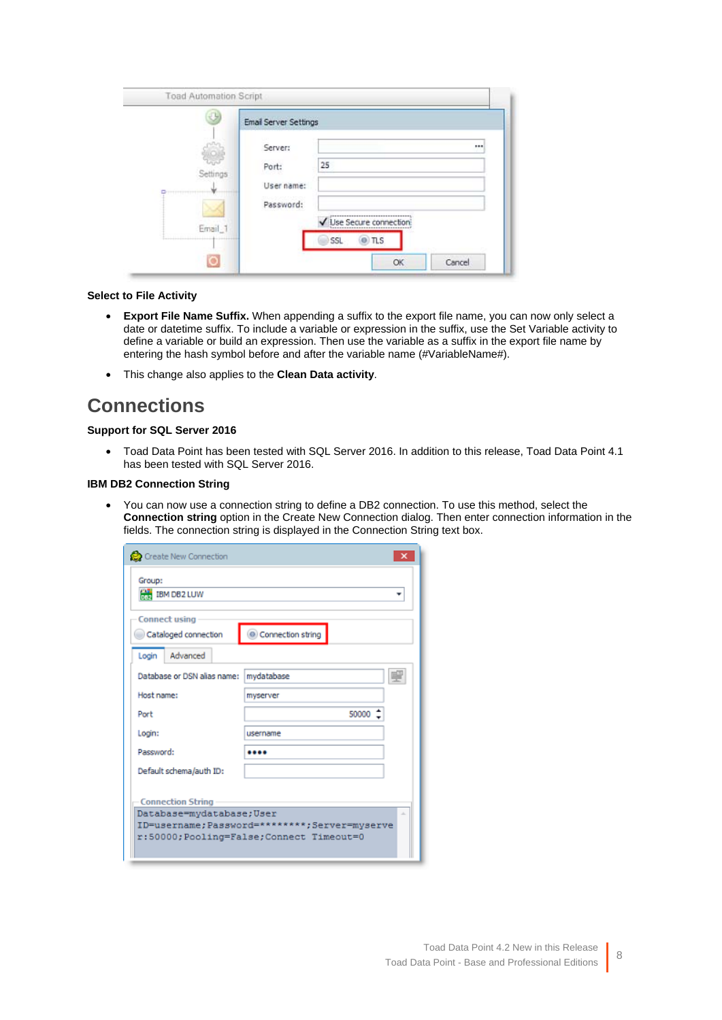|             | <b>Email Server Settings</b> |                           |
|-------------|------------------------------|---------------------------|
|             | Server:                      | 111                       |
| Settings    | Port:                        | 25                        |
| ----------- | User name:                   |                           |
|             | Password:                    |                           |
| Email_1     |                              | Use Secure connection     |
|             |                              | SSL<br>$\pi s$<br>$\circ$ |

#### **Select to File Activity**

- **Export File Name Suffix.** When appending a suffix to the export file name, you can now only select a date or datetime suffix. To include a variable or expression in the suffix, use the Set Variable activity to define a variable or build an expression. Then use the variable as a suffix in the export file name by entering the hash symbol before and after the variable name (#VariableName#).
- This change also applies to the **Clean Data activity**.

# **Connections**

#### **Support for SQL Server 2016**

• Toad Data Point has been tested with SQL Server 2016. In addition to this release, Toad Data Point 4.1 has been tested with SQL Server 2016.

#### **IBM DB2 Connection String**

• You can now use a connection string to define a DB2 connection. To use this method, select the **Connection string** option in the Create New Connection dialog. Then enter connection information in the fields. The connection string is displayed in the Connection String text box.

| Create New Connection                                      |                   |  |  |  |
|------------------------------------------------------------|-------------------|--|--|--|
| Group:<br><b>HAN</b> IBM DB2 LUW                           |                   |  |  |  |
| <b>Connect using</b>                                       |                   |  |  |  |
| Cataloged connection                                       | Connection string |  |  |  |
| Advanced<br>Login                                          |                   |  |  |  |
| Database or DSN alias name:                                | mydatabase        |  |  |  |
| Host name:                                                 | myserver          |  |  |  |
| Port                                                       | $50000^{-4}$      |  |  |  |
| Login:                                                     | username          |  |  |  |
| Password:                                                  |                   |  |  |  |
| Default schema/auth ID:                                    |                   |  |  |  |
|                                                            |                   |  |  |  |
| <b>Connection String</b><br>Database=mydatabase;User<br>à. |                   |  |  |  |
| ID=username; Password=********; Server=myserve             |                   |  |  |  |
| r:50000; Pooling=False; Connect Timeout=0                  |                   |  |  |  |
|                                                            |                   |  |  |  |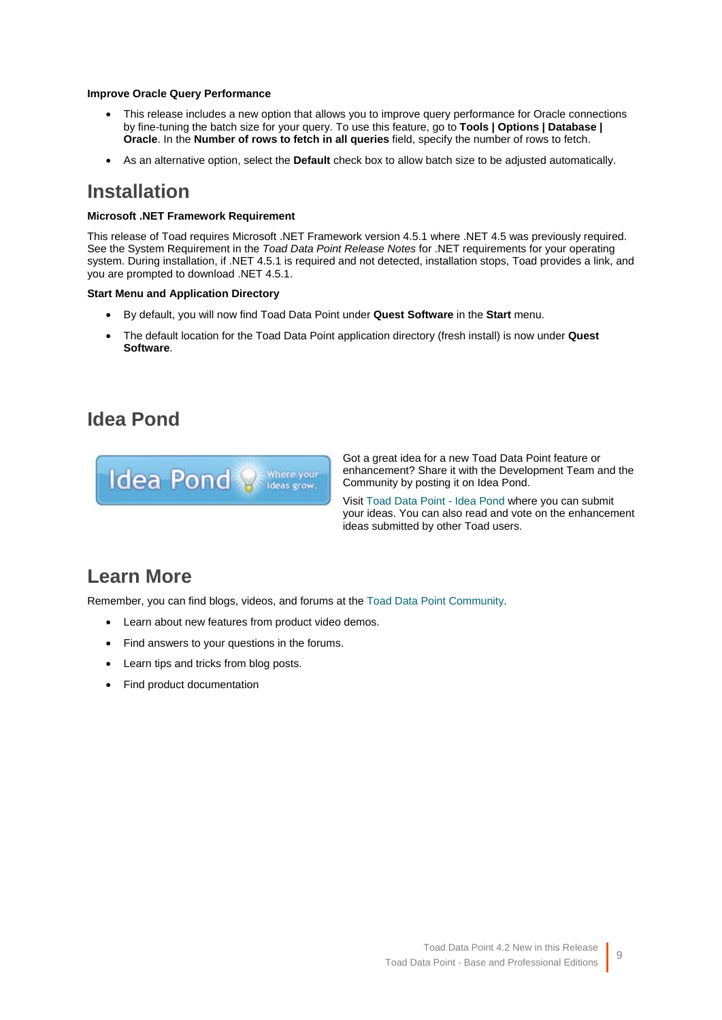#### **Improve Oracle Query Performance**

- This release includes a new option that allows you to improve query performance for Oracle connections by fine-tuning the batch size for your query. To use this feature, go to **Tools | Options | Database | Oracle**. In the **Number of rows to fetch in all queries** field, specify the number of rows to fetch.
- As an alternative option, select the **Default** check box to allow batch size to be adjusted automatically.

### **Installation**

#### **Microsoft .NET Framework Requirement**

This release of Toad requires Microsoft .NET Framework version 4.5.1 where .NET 4.5 was previously required. See the System Requirement in the *Toad Data Point Release Notes* for .NET requirements for your operating system. During installation, if .NET 4.5.1 is required and not detected, installation stops, Toad provides a link, and you are prompted to download .NET 4.5.1.

#### **Start Menu and Application Directory**

- By default, you will now find Toad Data Point under **Quest Software** in the **Start** menu.
- The default location for the Toad Data Point application directory (fresh install) is now under **Quest Software**.

# **Idea Pond**



Got a great idea for a new Toad Data Point feature or enhancement? Share it with the Development Team and the Community by posting it on Idea Pond.

Visit [Toad Data Point - Idea Pond](http://www.toadworld.com/products/toad-data-point/i/default.aspx) where you can submit your ideas. You can also read and vote on the enhancement ideas submitted by other Toad users.

# **Learn More**

Remember, you can find blogs, videos, and forums at the [Toad Data Point Community.](http://www.toadworld.com/products/toad-data-point/default.aspx)

- Learn about new features from product video demos.
- Find answers to your questions in the forums.
- Learn tips and tricks from blog posts.
- Find product documentation